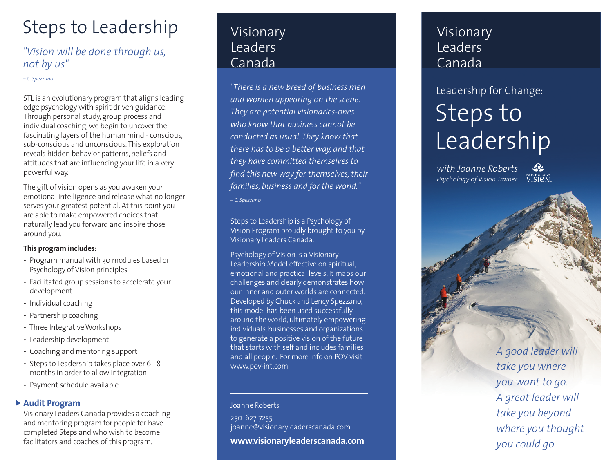## Steps to Leadership

### *"Vision will be done through us, not by us"*

#### *– C. Spezzano*

STL is an evolutionary program that aligns leading edge psychology with spirit driven guidance. Through personal study, group process and individual coaching, we begin to uncover the fascinating layers of the human mind - conscious, sub-conscious and unconscious. This exploration reveals hidden behavior patterns, beliefs and attitudes that are influencing your life in a very powerful way.

The gift of vision opens as you awaken your emotional intelligence and release what no longer serves your greatest potential. At this point you are able to make empowered choices that naturally lead you forward and inspire those around you.

### **This program includes:**

- Program manual with 30 modules based on Psychology of Vision principles
- Facilitated group sessions to accelerate your development
- Individual coaching
- Partnership coaching
- Three Integrative Workshops
- Leadership development
- Coaching and mentoring support
- Steps to Leadership takes place over 6 8 months in order to allow integration
- Payment schedule available

### **Audit Program**

Visionary Leaders Canada provides a coaching and mentoring program for people for have completed Steps and who wish to become facilitators and coaches of this program.

## Visionary Leaders Canada

*"There is a new breed of business men and women appearing on the scene. They are potential visionaries-ones who know that business cannot be conducted as usual. They know that there has to be a better way, and that they have committed themselves to find this new way for themselves, their families, business and for the world." – C. Spezzano*

Steps to Leadership is a Psychology of Vision Program proudly brought to you by Visionary Leaders Canada.

Psychology of Vision is a Visionary Leadership Model effective on spiritual, emotional and practical levels. It maps our challenges and clearly demonstrates how our inner and outer worlds are connected. Developed by Chuck and Lency Spezzano, this model has been used successfully around the world, ultimately empowering individuals, businesses and organizations to generate a positive vision of the future that starts with self and includes families and all people. For more info on POV visit www.pov-int.com

#### Joanne Roberts

250-627-7255 joanne@visionaryleaderscanada.com **www.visionaryleaderscanada.com**

## Visionary Leaders Canada

# Steps to Leadership Leadership for Change:

*with Joanne Roberts Psychology of Vision Trainer*

VISION.

*A good leader will take you where you want to go. A great leader will take you beyond where you thought you could go.*